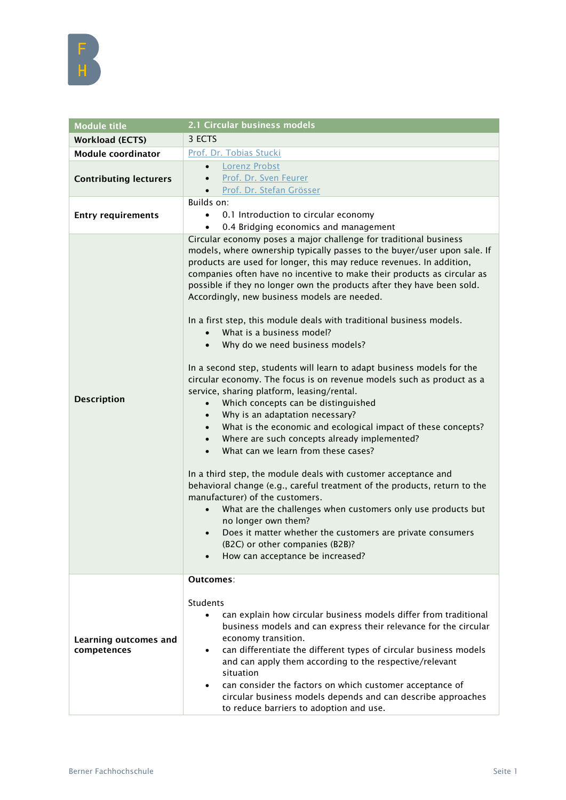

| <b>Module title</b>                  | 2.1 Circular business models                                                                                                                                                                                                                                                                                                                                                                                                                                                                                                                                                                                                                                                                                                                                                                                                                                                                                                                                                                                                                                                                                                                                                                                                                                                                                                                                                                                                                                                                                   |
|--------------------------------------|----------------------------------------------------------------------------------------------------------------------------------------------------------------------------------------------------------------------------------------------------------------------------------------------------------------------------------------------------------------------------------------------------------------------------------------------------------------------------------------------------------------------------------------------------------------------------------------------------------------------------------------------------------------------------------------------------------------------------------------------------------------------------------------------------------------------------------------------------------------------------------------------------------------------------------------------------------------------------------------------------------------------------------------------------------------------------------------------------------------------------------------------------------------------------------------------------------------------------------------------------------------------------------------------------------------------------------------------------------------------------------------------------------------------------------------------------------------------------------------------------------------|
| <b>Workload (ECTS)</b>               | 3 ECTS                                                                                                                                                                                                                                                                                                                                                                                                                                                                                                                                                                                                                                                                                                                                                                                                                                                                                                                                                                                                                                                                                                                                                                                                                                                                                                                                                                                                                                                                                                         |
| <b>Module coordinator</b>            | Prof. Dr. Tobias Stucki                                                                                                                                                                                                                                                                                                                                                                                                                                                                                                                                                                                                                                                                                                                                                                                                                                                                                                                                                                                                                                                                                                                                                                                                                                                                                                                                                                                                                                                                                        |
| <b>Contributing lecturers</b>        | <b>Lorenz Probst</b><br>$\bullet$                                                                                                                                                                                                                                                                                                                                                                                                                                                                                                                                                                                                                                                                                                                                                                                                                                                                                                                                                                                                                                                                                                                                                                                                                                                                                                                                                                                                                                                                              |
|                                      | Prof. Dr. Sven Feurer<br>$\bullet$                                                                                                                                                                                                                                                                                                                                                                                                                                                                                                                                                                                                                                                                                                                                                                                                                                                                                                                                                                                                                                                                                                                                                                                                                                                                                                                                                                                                                                                                             |
|                                      | Prof. Dr. Stefan Grösser                                                                                                                                                                                                                                                                                                                                                                                                                                                                                                                                                                                                                                                                                                                                                                                                                                                                                                                                                                                                                                                                                                                                                                                                                                                                                                                                                                                                                                                                                       |
| <b>Entry requirements</b>            | Builds on:                                                                                                                                                                                                                                                                                                                                                                                                                                                                                                                                                                                                                                                                                                                                                                                                                                                                                                                                                                                                                                                                                                                                                                                                                                                                                                                                                                                                                                                                                                     |
|                                      | 0.1 Introduction to circular economy                                                                                                                                                                                                                                                                                                                                                                                                                                                                                                                                                                                                                                                                                                                                                                                                                                                                                                                                                                                                                                                                                                                                                                                                                                                                                                                                                                                                                                                                           |
|                                      | 0.4 Bridging economics and management                                                                                                                                                                                                                                                                                                                                                                                                                                                                                                                                                                                                                                                                                                                                                                                                                                                                                                                                                                                                                                                                                                                                                                                                                                                                                                                                                                                                                                                                          |
| <b>Description</b>                   | Circular economy poses a major challenge for traditional business<br>models, where ownership typically passes to the buyer/user upon sale. If<br>products are used for longer, this may reduce revenues. In addition,<br>companies often have no incentive to make their products as circular as<br>possible if they no longer own the products after they have been sold.<br>Accordingly, new business models are needed.<br>In a first step, this module deals with traditional business models.<br>What is a business model?<br>$\bullet$<br>Why do we need business models?<br>$\bullet$<br>In a second step, students will learn to adapt business models for the<br>circular economy. The focus is on revenue models such as product as a<br>service, sharing platform, leasing/rental.<br>Which concepts can be distinguished<br>$\bullet$<br>Why is an adaptation necessary?<br>$\bullet$<br>What is the economic and ecological impact of these concepts?<br>$\bullet$<br>Where are such concepts already implemented?<br>$\bullet$<br>What can we learn from these cases?<br>$\bullet$<br>In a third step, the module deals with customer acceptance and<br>behavioral change (e.g., careful treatment of the products, return to the<br>manufacturer) of the customers.<br>What are the challenges when customers only use products but<br>no longer own them?<br>Does it matter whether the customers are private consumers<br>(B2C) or other companies (B2B)?<br>How can acceptance be increased? |
|                                      | Outcomes:                                                                                                                                                                                                                                                                                                                                                                                                                                                                                                                                                                                                                                                                                                                                                                                                                                                                                                                                                                                                                                                                                                                                                                                                                                                                                                                                                                                                                                                                                                      |
| Learning outcomes and<br>competences | <b>Students</b><br>can explain how circular business models differ from traditional<br>$\bullet$<br>business models and can express their relevance for the circular<br>economy transition.<br>can differentiate the different types of circular business models<br>$\bullet$<br>and can apply them according to the respective/relevant<br>situation<br>can consider the factors on which customer acceptance of<br>$\bullet$<br>circular business models depends and can describe approaches<br>to reduce barriers to adoption and use.                                                                                                                                                                                                                                                                                                                                                                                                                                                                                                                                                                                                                                                                                                                                                                                                                                                                                                                                                                      |